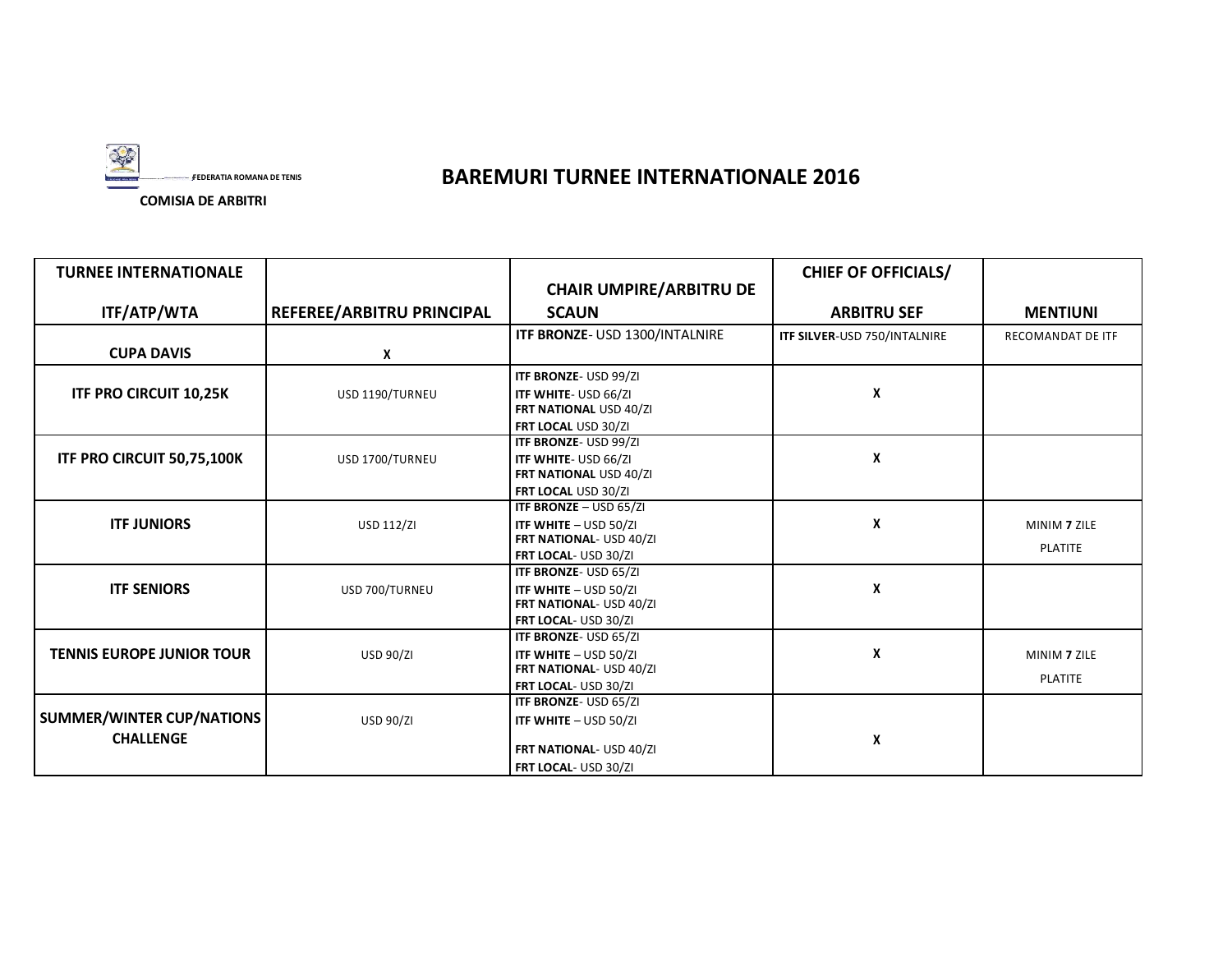

## **FEDERATIA ROMANA DE TENIS BAREMURI TURNEE INTERNATIONALE 2016**

**TURNEE INTERNATIONALE CHAIR UMPIRE/ARBITRU DE CHIEF OF OFFICIALS/ ITF/ATP/WTA REFEREE/ARBITRU PRINCIPAL SCAUN ARBITRU SEF MENTIUNI CUPA DAVIS ITF BRONZE**- USD 1300/INTALNIRE **ITF SILVER**-USD 750/INTALNIRE RECOMANDAT DE ITF **X ITF BRONZE**- USD 99/ZI **ITF PRO CIRCUIT 10,25K** USD 1190/TURNEU **ITF WHITE- USD 66/ZI ITF WHITE FRT NATIONAL** USD 40/ZI **FRT LOCAL** USD 30/ZI **ITF BRONZE**- USD 99/ZI **ITF PRO CIRCUIT 50,75,100K** USD 1700/TURNEU **ITF WHITE**- USD 66/ZI **ITF WHITE FRT NATIONAL** USD 40/ZI **FRT LOCAL** USD 30/ZI **ITF BRONZE** – USD 65/ZI **ITF JUNIORS I** USD 112/ZI **ITF WHITE** – USD 50/ZI **IVE ALL ASS TO A MINIM 7** ZILE **FRT NATIONAL**- USD 40/ZI **FRT LOCAL-** USD 30/ZI **ITF BRONZE**- USD 65/ZI **ITF SENIORS** USD 700/TURNEU **ITF WHITE** – USD 50/ZI **X FRT NATIONAL**- USD 40/ZI **FRT LOCAL**- USD 30/ZI **ITF BRONZE**- USD 65/ZI **TENNIS EUROPE JUNIOR TOUR** USD 90/ZI **ITF WHITE – USD 50/ZI ITTE AND INITE AND INITE AND INITE AND INITE AND INITE AND INITE AND INITE AND INITE AND INITE AND INITE AND INITE AND INITE AND INITE AND INITE AND INITE AND FRT NATIONAL**- USD 40/ZI **FRT LOCAL**- USD 30/ZI **SUMMER/WINTER CUP/NATIONS ITF BRONZE**- USD 65/ZI USD 90/ZI **ITF WHITE** – USD 50/ZI **CHALLENGE FRT NATIONAL**- USD 40/ZI **<sup>X</sup> FRT LOCAL**- USD 30/ZI